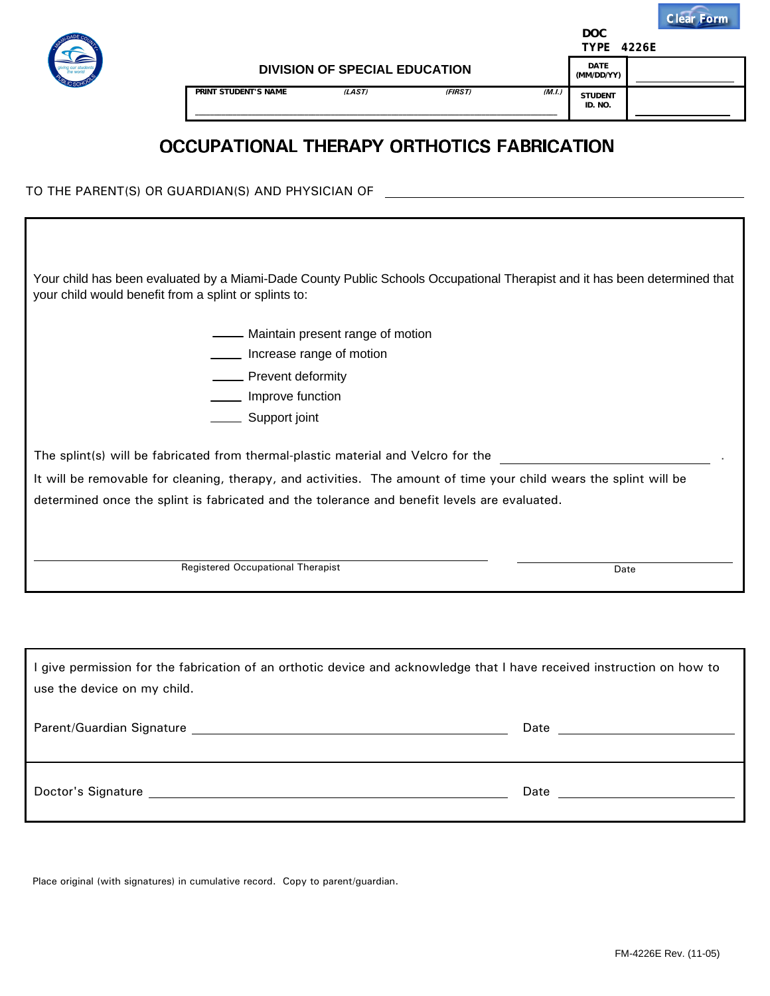

**PRINT STUDENT'S NAME** *(LAST) (FIRST) (M.I.)*

**DOC**

**DATE (MM/DD/YY) STUDENT ID. NO.**

## OCCUPATIONAL THERAPY ORTHOTICS FABRICATION

**\_\_\_\_\_\_\_\_\_\_\_\_\_\_\_\_\_\_\_\_\_\_\_\_\_\_\_\_\_\_\_\_\_\_\_\_\_\_\_\_\_\_\_\_\_\_\_\_\_\_\_\_\_\_\_\_\_\_\_\_\_\_\_\_\_\_\_\_\_\_\_\_\_\_\_\_\_\_\_\_\_\_\_\_\_\_\_\_\_\_\_\_\_\_\_\_**

TO THE PARENT(S) OR GUARDIAN(S) AND PHYSICIAN OF

Your child has been evaluated by a Miami-Dade County Public Schools Occupational Therapist and it has been determined that your child would benefit from a splint or splints to:

**EXECUTE:** Maintain present range of motion

**Increase range of motion** 

**EXALGE Prevent deformity** 

**Improve function** 

Support joint

The splint(s) will be fabricated from thermal-plastic material and Velcro for the

It will be removable for cleaning, therapy, and activities. The amount of time your child wears the splint will be determined once the splint is fabricated and the tolerance and benefit levels are evaluated.

Registered Occupational Therapist

Date

.

Doctor's Signature Date I give permission for the fabrication of an orthotic device and acknowledge that I have received instruction on how to use the device on my child. Parent/Guardian Signature Date

Place original (with signatures) in cumulative record. Copy to parent/guardian.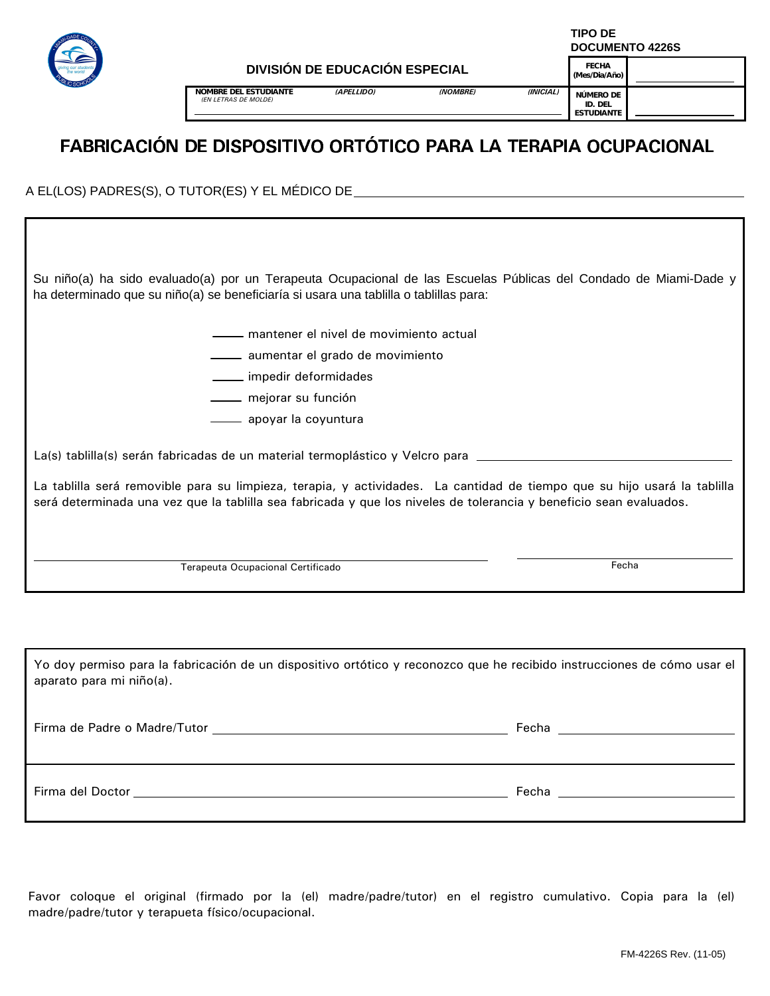

**TIPO DE DOCUMENTO 4226S**

**NOMBRE DEL ESTUDIANTE** *(APELLIDO) (NOMBRE) (INICIAL) (EN LETRAS DE MOLDE)* 

**(Mes/Dia/Año) NÚMERO DE**

**FECHA**

**ID. DEL ESTUDIANTE**

### FABRICACIÓN DE DISPOSITIVO ORTÓTICO PARA LA TERAPIA OCUPACIONAL

A EL(LOS) PADRES(S), O TUTOR(ES) Y EL MÉDICO DE

Su niño(a) ha sido evaluado(a) por un Terapeuta Ocupacional de las Escuelas Públicas del Condado de Miami-Dade y ha determinado que su niño(a) se beneficiaría si usara una tablilla o tablillas para:

- mantener el nivel de movimiento actual
- aumentar el grado de movimiento
- impedir deformidades
- mejorar su función
- apoyar la coyuntura

La(s) tablilla(s) serán fabricadas de un material termoplástico y Velcro para \_\_\_\_\_\_\_\_\_\_\_\_\_\_\_\_\_\_\_\_\_\_\_\_\_\_\_\_\_\_\_

La tablilla será removible para su limpieza, terapia, y actividades. La cantidad de tiempo que su hijo usará la tablilla será determinada una vez que la tablilla sea fabricada y que los niveles de tolerancia y beneficio sean evaluados.

Terapeuta Ocupacional Certificado

**Fecha** 

Firma del Doctor establece a controllar establece a controllar establece a controllar establece a controllar establece a controllar establece a controllar establece a controllar establece a controllar establece a controlla Yo doy permiso para la fabricación de un dispositivo ortótico y reconozco que he recibido instrucciones de cómo usar el aparato para mi niño(a). Firma de Padre o Madre/Tutor **Firma de Padre o Madre/Tutor** Fecha Fecha **Fecha** Fecha **Fecha** Fecha **Fecha** Fecha **Fecha** Fecha **Fecha** Fecha **Fecha** Fecha **Fecha** Fecha **Fecha** Fecha **Fecha** Fecha **Fecha** Fecha **Fecha** Fe

Favor coloque el original (firmado por la (el) madre/padre/tutor) en el registro cumulativo. Copia para la (el) madre/padre/tutor y terapueta físico/ocupacional.